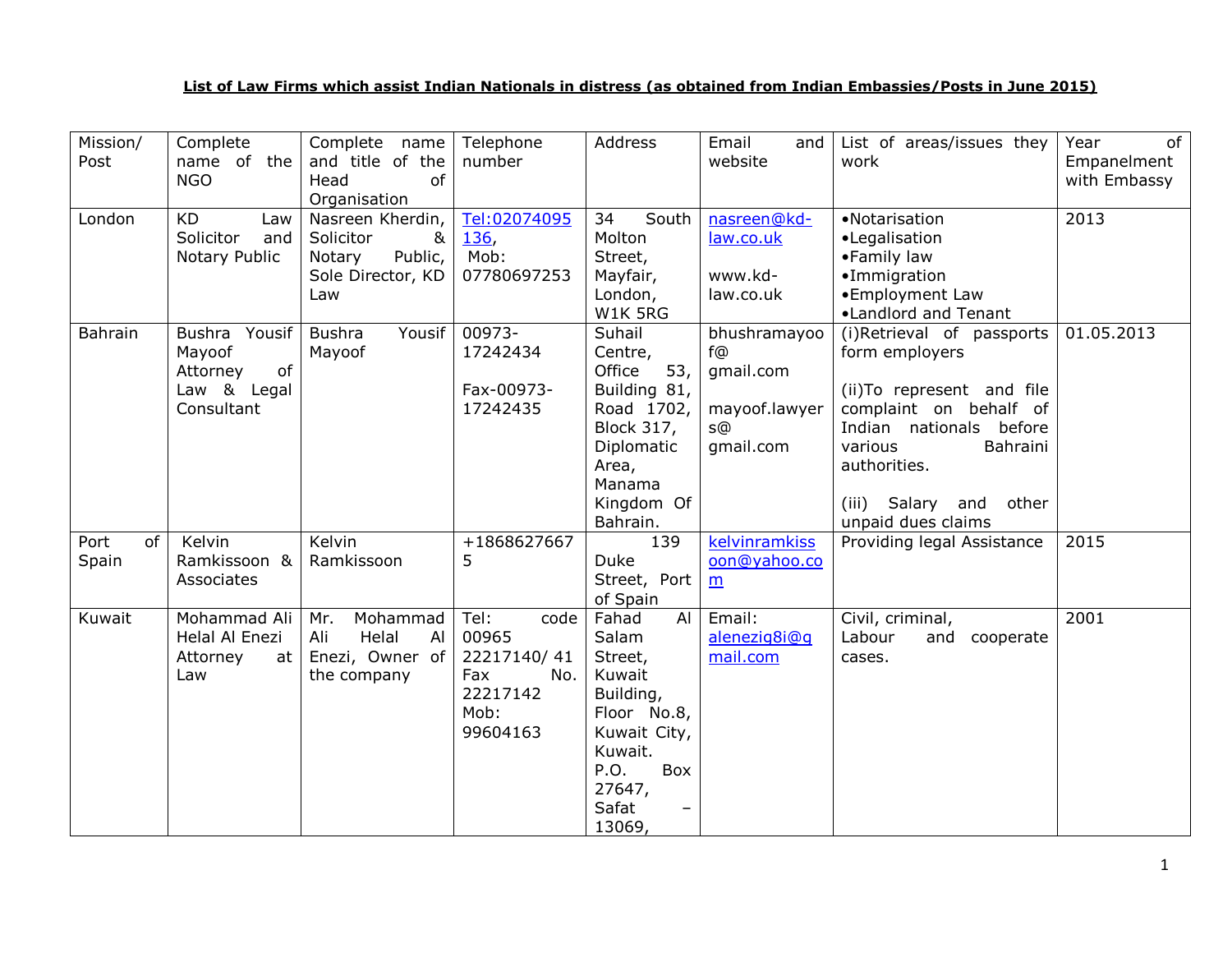## **List of Law Firms which assist Indian Nationals in distress (as obtained from Indian Embassies/Posts in June 2015)**

| Mission/<br>Post    | Complete<br>name of the<br><b>NGO</b>                                  | Complete name<br>and title of the<br>of<br>Head<br>Organisation                     | Telephone<br>number                                                                | Address                                                                                                                                                                  | Email<br>and<br>website                                                                                               | List of areas/issues they<br>work                                                                                                                                                                                        | of<br>Year<br>Empanelment<br>with Embassy |
|---------------------|------------------------------------------------------------------------|-------------------------------------------------------------------------------------|------------------------------------------------------------------------------------|--------------------------------------------------------------------------------------------------------------------------------------------------------------------------|-----------------------------------------------------------------------------------------------------------------------|--------------------------------------------------------------------------------------------------------------------------------------------------------------------------------------------------------------------------|-------------------------------------------|
| London              | <b>KD</b><br>Law<br>Solicitor<br>and<br>Notary Public                  | Nasreen Kherdin,<br>Solicitor<br>&<br>Public,<br>Notary<br>Sole Director, KD<br>Law | Tel:02074095<br><b>136,</b><br>Mob:<br>07780697253                                 | South<br>34<br>Molton<br>Street,<br>Mayfair,<br>London,<br>W1K 5RG                                                                                                       | nasreen@kd-<br>law.co.uk<br>www.kd-<br>law.co.uk                                                                      | •Notarisation<br>•Legalisation<br>•Family law<br>·Immigration<br>•Employment Law<br>•Landlord and Tenant                                                                                                                 | 2013                                      |
| Bahrain             | Bushra Yousif<br>Mayoof<br>of<br>Attorney<br>Law & Legal<br>Consultant | Yousif<br>Bushra<br>Mayoof                                                          | 00973-<br>17242434<br>Fax-00973-<br>17242435                                       | Suhail<br>Centre,<br>53,<br>Office<br>Building 81,<br>Road 1702,<br><b>Block 317,</b><br>Diplomatic<br>Area,<br>Manama<br>Kingdom Of<br>Bahrain.                         | bhushramayoo<br>$f$ <sub>(a)</sub><br>gmail.com<br>mayoof.lawyer<br>$S$ <sup>(<math>\Omega</math>)</sup><br>qmail.com | (i)Retrieval of passports<br>form employers<br>(ii) To represent and file<br>complaint on behalf of<br>Indian nationals before<br>various<br>Bahraini<br>authorities.<br>(iii) Salary and<br>other<br>unpaid dues claims | 01.05.2013                                |
| Port<br>of<br>Spain | Kelvin<br>Ramkissoon &<br>Associates                                   | Kelvin<br>Ramkissoon                                                                | +1868627667<br>5                                                                   | 139<br><b>Duke</b><br>Street, Port<br>of Spain                                                                                                                           | kelvinramkiss<br>oon@yahoo.co<br>m                                                                                    | Providing legal Assistance                                                                                                                                                                                               | 2015                                      |
| Kuwait              | Mohammad Ali<br>Helal Al Enezi<br>Attorney<br>at<br>Law                | Mohammad<br>Mr.<br>Helal<br>Ali<br>Al<br>Enezi, Owner of<br>the company             | Tel:<br>code<br>00965<br>22217140/41<br>Fax<br>No.<br>22217142<br>Mob:<br>99604163 | AI<br>Fahad<br>Salam<br>Street,<br>Kuwait<br>Building,<br>Floor No.8,<br>Kuwait City,<br>Kuwait.<br>P.O.<br>Box<br>27647,<br>Safat<br>$\overline{\phantom{m}}$<br>13069, | Email:<br>alenezig8i@q<br>mail.com                                                                                    | Civil, criminal,<br>Labour<br>and<br>cooperate<br>cases.                                                                                                                                                                 | 2001                                      |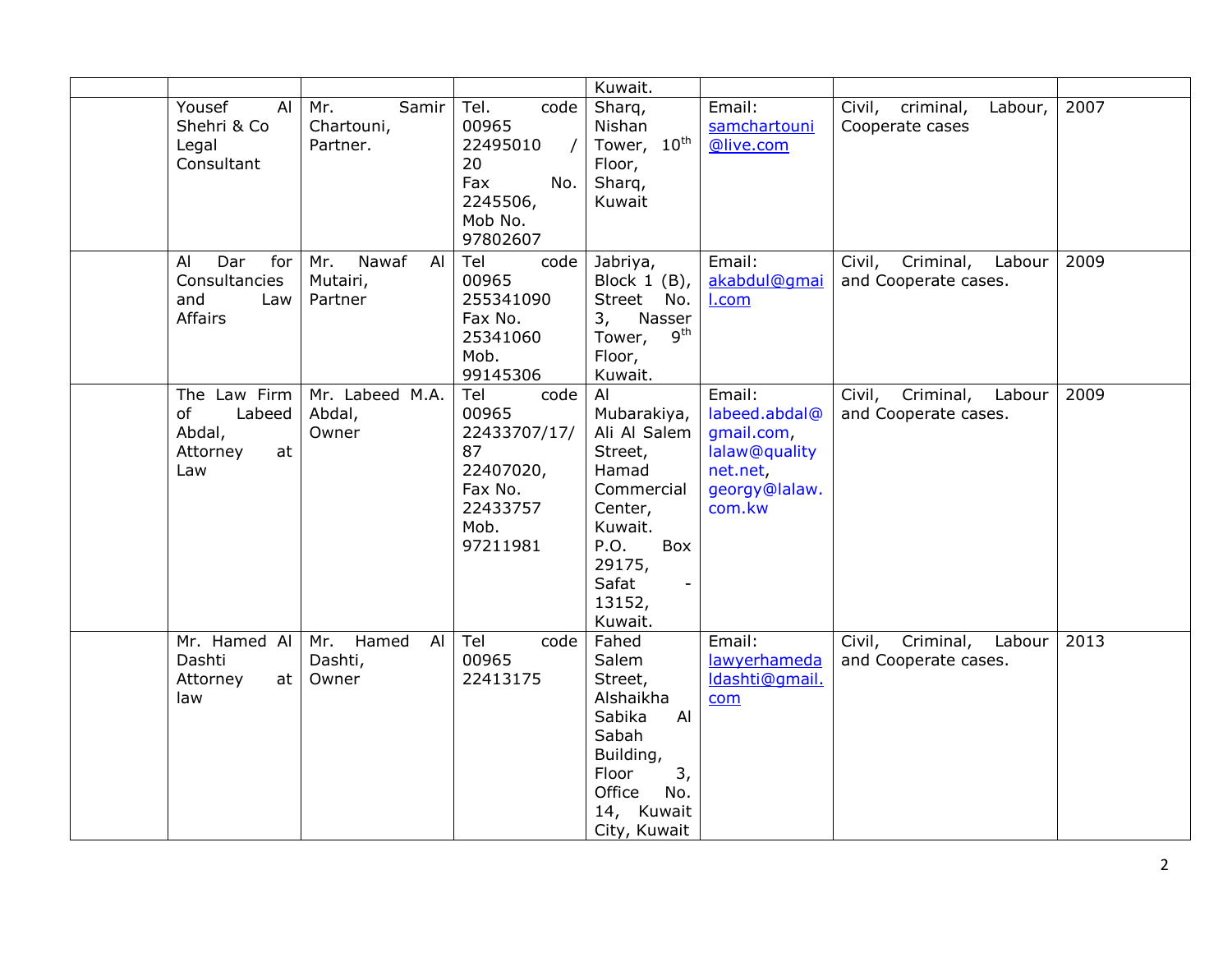|                                                                 |                                           |                                                                                                    | Kuwait.                                                                                                                                                            |                                                                                               |                                                       |      |
|-----------------------------------------------------------------|-------------------------------------------|----------------------------------------------------------------------------------------------------|--------------------------------------------------------------------------------------------------------------------------------------------------------------------|-----------------------------------------------------------------------------------------------|-------------------------------------------------------|------|
| Yousef<br>Al<br>Shehri & Co<br>Legal<br>Consultant              | Mr.<br>Samir<br>Chartouni,<br>Partner.    | Tel.<br>code<br>00965<br>22495010<br>20<br>Fax<br>No.<br>2245506,<br>Mob No.<br>97802607           | Sharq,<br>Nishan<br>Tower, 10 <sup>th</sup><br>Floor,<br>Sharq,<br>Kuwait                                                                                          | Email:<br>samchartouni<br>@live.com                                                           | Labour,<br>Civil,<br>criminal,<br>Cooperate cases     | 2007 |
| Dar<br>for<br>Al<br>Consultancies<br>and<br>Law<br>Affairs      | Nawaf<br>Mr.<br>Al<br>Mutairi,<br>Partner | Tel<br>code<br>00965<br>255341090<br>Fax No.<br>25341060<br>Mob.<br>99145306                       | Jabriya,<br>Block $1$ (B),<br>Street No.<br>Nasser<br>3,<br>9 <sup>th</sup><br>Tower,<br>Floor,<br>Kuwait.                                                         | Email:<br>akabdul@qmai<br>I.com                                                               | Criminal,<br>Labour<br>Civil,<br>and Cooperate cases. | 2009 |
| The Law Firm<br>Labeed<br>of<br>Abdal,<br>Attorney<br>at<br>Law | Mr. Labeed M.A.<br>Abdal,<br>Owner        | Tel<br>code<br>00965<br>22433707/17/<br>87<br>22407020,<br>Fax No.<br>22433757<br>Mob.<br>97211981 | Al<br>Mubarakiya,<br>Ali Al Salem<br>Street,<br>Hamad<br>Commercial<br>Center,<br>Kuwait.<br>P.O.<br>Box<br>29175,<br>Safat<br>$\blacksquare$<br>13152,<br>Kuwait. | Email:<br>labeed.abdal@<br>gmail.com,<br>lalaw@quality<br>net.net,<br>georgy@lalaw.<br>com.kw | Criminal,<br>Labour<br>Civil,<br>and Cooperate cases. | 2009 |
| Mr. Hamed Al<br>Dashti<br>Attorney<br>at<br>law                 | Mr. Hamed<br>Al<br>Dashti,<br>Owner       | Tel<br>code<br>00965<br>22413175                                                                   | Fahed<br>Salem<br>Street,<br>Alshaikha<br>Sabika<br>Al<br>Sabah<br>Building,<br>3,<br>Floor<br>Office<br>No.<br>14, Kuwait<br>City, Kuwait                         | Email:<br>lawyerhameda<br>Idashti@qmail.<br>com                                               | Civil, Criminal, Labour<br>and Cooperate cases.       | 2013 |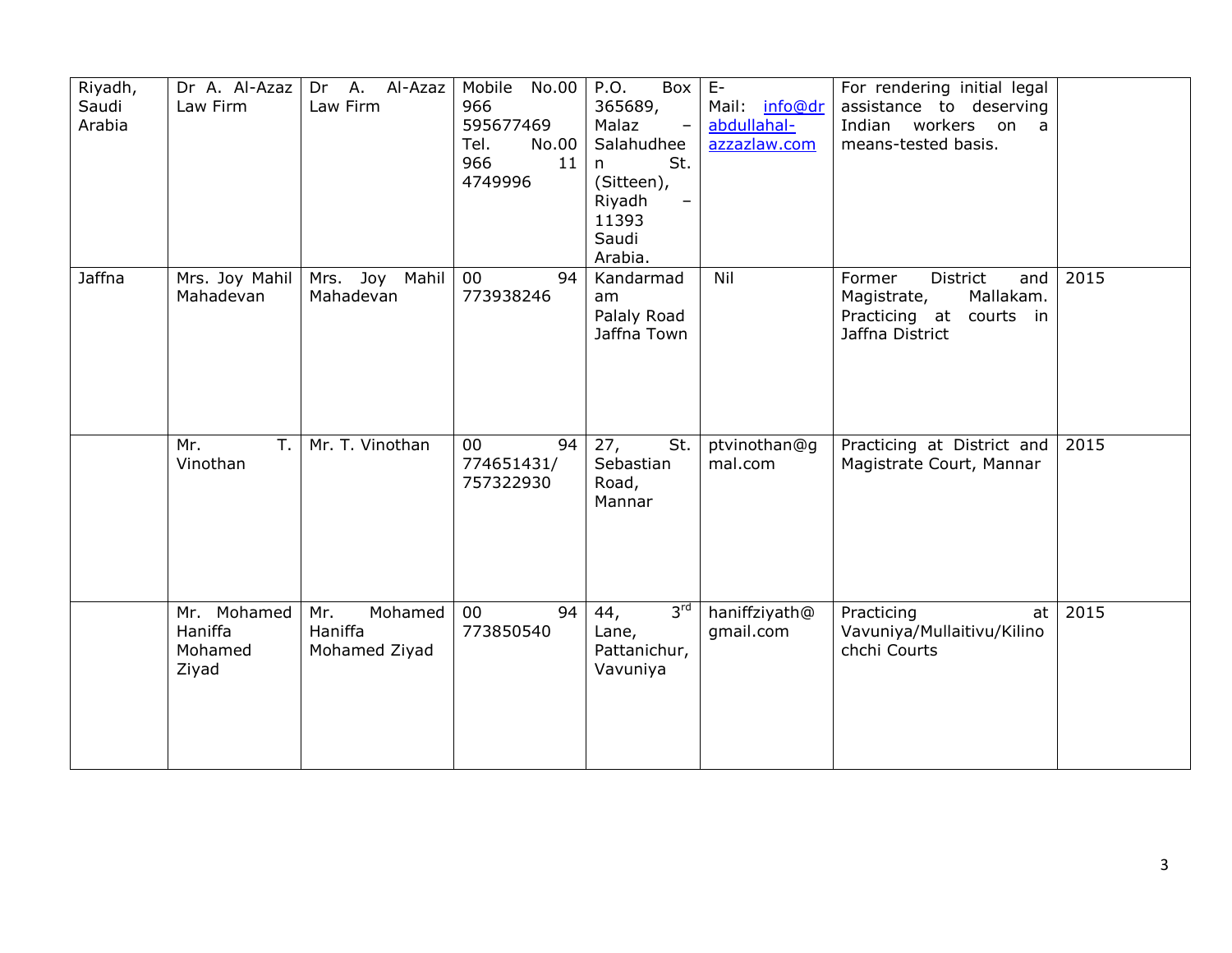| Riyadh,<br>Saudi<br>Arabia | Dr A. Al-Azaz<br>Law Firm                  | Dr A. Al-Azaz<br>Law Firm                  | Mobile<br>No.00<br>966<br>595677469<br>Tel.<br>No.00<br>966<br>11<br>4749996 | P.O.<br>Box<br>365689,<br>Malaz<br>$\overline{\phantom{0}}$<br>Salahudhee<br>St.<br>n<br>(Sitteen),<br>Riyadh<br>11393<br>Saudi<br>Arabia. | $E-$<br>Mail: info@dr<br>abdullahal-<br>azzazlaw.com | For rendering initial legal<br>assistance to deserving<br>Indian workers on a<br>means-tested basis.   |      |
|----------------------------|--------------------------------------------|--------------------------------------------|------------------------------------------------------------------------------|--------------------------------------------------------------------------------------------------------------------------------------------|------------------------------------------------------|--------------------------------------------------------------------------------------------------------|------|
| Jaffna                     | Mrs. Joy Mahil<br>Mahadevan                | Joy Mahil<br>Mrs.<br>Mahadevan             | $00\,$<br>94<br>773938246                                                    | Kandarmad<br>am<br>Palaly Road<br>Jaffna Town                                                                                              | Nil                                                  | District<br>Former<br>and<br>Mallakam.<br>Magistrate,<br>Practicing at<br>courts in<br>Jaffna District | 2015 |
|                            | Mr.<br>T.<br>Vinothan                      | Mr. T. Vinothan                            | $00\,$<br>94<br>774651431/<br>757322930                                      | 27,<br>St.<br>Sebastian<br>Road,<br>Mannar                                                                                                 | ptvinothan@g<br>mal.com                              | Practicing at District and<br>Magistrate Court, Mannar                                                 | 2015 |
|                            | Mr. Mohamed<br>Haniffa<br>Mohamed<br>Ziyad | Mohamed<br>Mr.<br>Haniffa<br>Mohamed Ziyad | $00\,$<br>94<br>773850540                                                    | 3 <sup>rd</sup><br>44,<br>Lane,<br>Pattanichur,<br>Vavuniya                                                                                | haniffziyath@<br>qmail.com                           | Practicing<br>at<br>Vavuniya/Mullaitivu/Kilino<br>chchi Courts                                         | 2015 |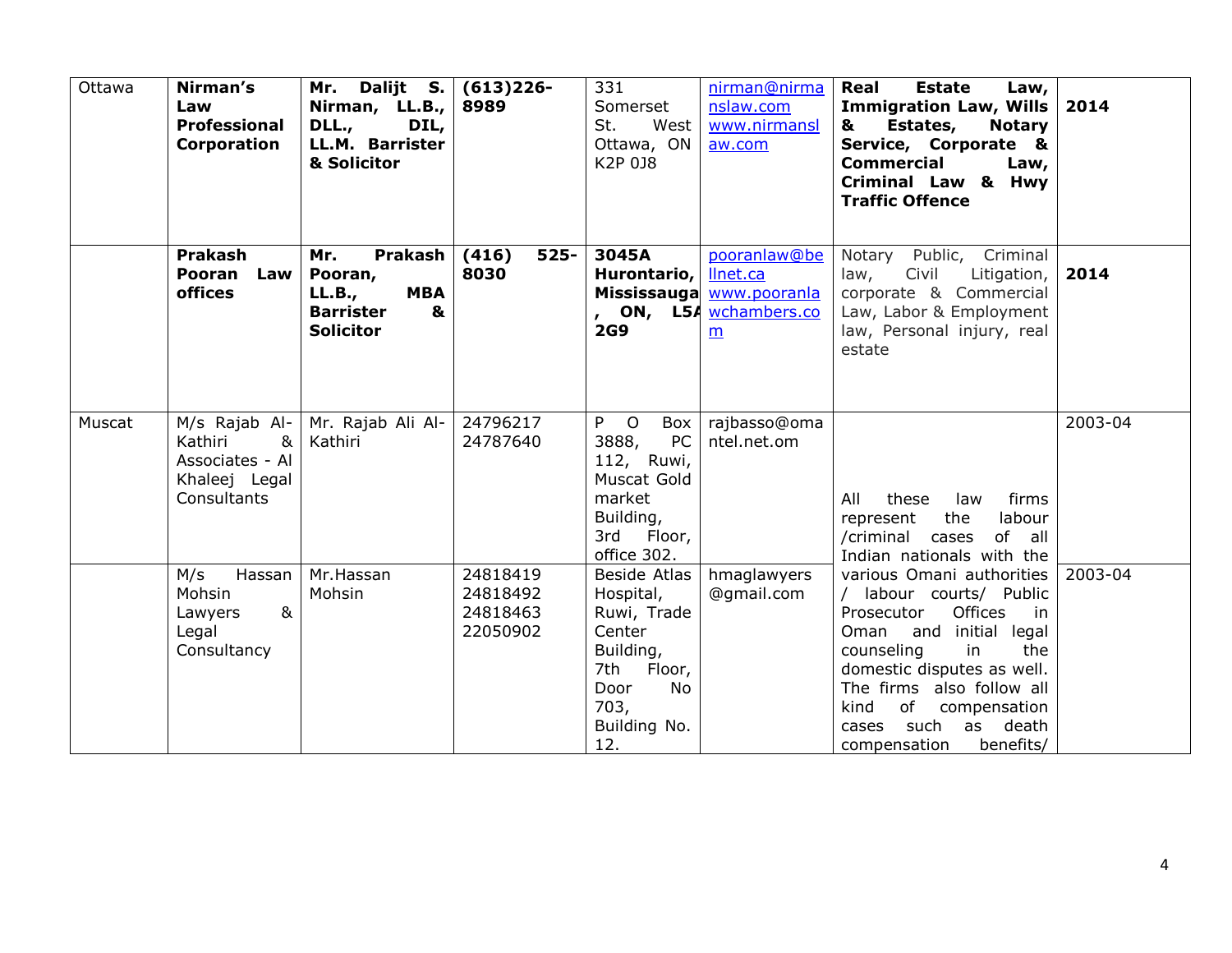| Ottawa | Nirman's<br>Law<br><b>Professional</b><br>Corporation                        | Mr. Dalijt S.<br>Nirman, $LL.B.,$<br>DLL.,<br>DIL,<br>LL.M. Barrister<br>& Solicitor           | $(613)226 -$<br>8989                         | 331<br>Somerset<br>St.<br>West<br>Ottawa, ON<br>K2P 0J8                                                                    | nirman@nirma<br>nslaw.com<br>www.nirmansl<br>aw.com                                 | Real<br><b>Estate</b><br>Law,<br>Immigration Law, Wills<br>Estates,<br><b>Notary</b><br>&<br>Service, Corporate &<br><b>Commercial</b><br>Law,<br><b>Criminal Law &amp; Hwy</b><br><b>Traffic Offence</b>                                                                                 | 2014    |
|--------|------------------------------------------------------------------------------|------------------------------------------------------------------------------------------------|----------------------------------------------|----------------------------------------------------------------------------------------------------------------------------|-------------------------------------------------------------------------------------|-------------------------------------------------------------------------------------------------------------------------------------------------------------------------------------------------------------------------------------------------------------------------------------------|---------|
|        | Prakash<br>Pooran Law<br>offices                                             | Prakash<br>Mr.<br>Pooran,<br><b>MBA</b><br>LL.B.,<br><b>Barrister</b><br>&<br><b>Solicitor</b> | (416)<br>$525 -$<br>8030                     | 3045A<br>Hurontario,<br><b>2G9</b>                                                                                         | pooranlaw@be<br>llnet.ca<br>Mississauga www.pooranla<br>, ON, L54 wchambers.co<br>m | Notary Public, Criminal<br>Civil<br>Litigation,<br>law,<br>corporate & Commercial<br>Law, Labor & Employment<br>law, Personal injury, real<br>estate                                                                                                                                      | 2014    |
| Muscat | Kathiri<br>&<br>Associates - Al<br>Khaleej Legal<br>Consultants              | M/s Rajab Al-   Mr. Rajab Ali Al-<br>Kathiri                                                   | 24796217<br>24787640                         | P O<br>Box<br><b>PC</b><br>3888,<br>112, Ruwi,<br>Muscat Gold<br>market<br>Building,<br>3rd Floor,<br>office 302.          | rajbasso@oma<br>ntel.net.om                                                         | All<br>these<br>law<br>firms<br>the<br>labour<br>represent<br>of all<br>/criminal cases<br>Indian nationals with the                                                                                                                                                                      | 2003-04 |
|        | M/s<br>Hassan<br>Mohsin<br>8 <sub>k</sub><br>Lawyers<br>Legal<br>Consultancy | Mr.Hassan<br>Mohsin                                                                            | 24818419<br>24818492<br>24818463<br>22050902 | Beside Atlas<br>Hospital,<br>Ruwi, Trade<br>Center<br>Building,<br>7th Floor,<br>No<br>Door<br>703,<br>Building No.<br>12. | hmaglawyers<br>@gmail.com                                                           | various Omani authorities<br>/ labour courts/ Public<br>Offices<br>Prosecutor<br>in.<br>Oman and initial legal<br>counseling<br>in<br>the<br>domestic disputes as well.<br>The firms also follow all<br>of compensation<br>kind<br>such<br>as death<br>cases<br>benefits/<br>compensation | 2003-04 |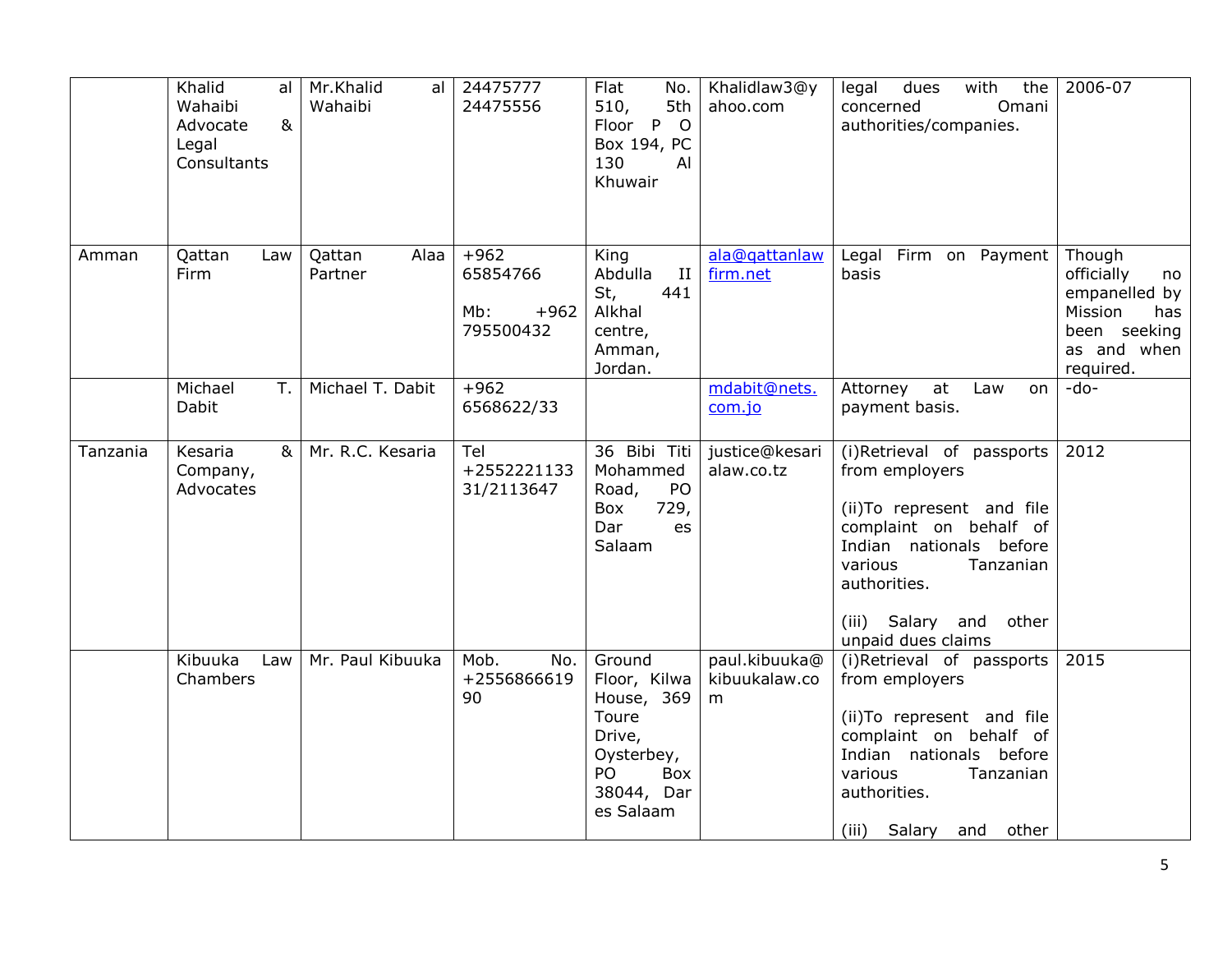|          | Khalid<br>al<br>Wahaibi<br>8 <sub>k</sub><br>Advocate<br>Legal<br>Consultants | Mr.Khalid<br>al<br>Wahaibi | 24475777<br>24475556                             | Flat<br>No.<br>510,<br>5th<br>Floor P O<br>Box 194, PC<br>130<br>AI<br>Khuwair                                | Khalidlaw3@y<br>ahoo.com            | with<br>legal<br>dues<br>the<br>concerned<br>Omani<br>authorities/companies.                                                                                                                                           | 2006-07                                                                                                   |
|----------|-------------------------------------------------------------------------------|----------------------------|--------------------------------------------------|---------------------------------------------------------------------------------------------------------------|-------------------------------------|------------------------------------------------------------------------------------------------------------------------------------------------------------------------------------------------------------------------|-----------------------------------------------------------------------------------------------------------|
| Amman    | Qattan<br>Law<br>Firm                                                         | Alaa<br>Qattan<br>Partner  | $+962$<br>65854766<br>Mb:<br>$+962$<br>795500432 | King<br>Abdulla<br>П<br>441<br>St,<br>Alkhal<br>centre,<br>Amman,<br>Jordan.                                  | ala@gattanlaw<br>firm.net           | Legal Firm on Payment<br>basis                                                                                                                                                                                         | Though<br>officially<br>no<br>empanelled by<br>Mission<br>has<br>been seeking<br>as and when<br>required. |
|          | T.<br>Michael<br>Dabit                                                        | Michael T. Dabit           | $+962$<br>6568622/33                             |                                                                                                               | mdabit@nets.<br>com.jo              | at<br>Attorney<br>Law<br>on<br>payment basis.                                                                                                                                                                          | -do-                                                                                                      |
| Tanzania | 8 <sub>k</sub><br>Kesaria<br>Company,<br>Advocates                            | Mr. R.C. Kesaria           | Tel<br>+2552221133<br>31/2113647                 | 36 Bibi Titi<br>Mohammed<br>PO<br>Road,<br>729,<br>Box<br>Dar<br>es<br>Salaam                                 | justice@kesari<br>alaw.co.tz        | (i)Retrieval of passports<br>from employers<br>(ii) To represent and file<br>complaint on behalf of<br>Indian nationals before<br>various<br>Tanzanian<br>authorities.<br>(iii) Salary and other<br>unpaid dues claims | 2012                                                                                                      |
|          | Kibuuka<br>Law<br>Chambers                                                    | Mr. Paul Kibuuka           | Mob.<br>No.<br>+2556866619<br>90                 | Ground<br>Floor, Kilwa<br>House, 369<br>Toure<br>Drive,<br>Oysterbey,<br>PO<br>Box<br>38044, Dar<br>es Salaam | paul.kibuuka@<br>kibuukalaw.co<br>m | (i)Retrieval of passports<br>from employers<br>(ii) To represent and file<br>complaint on behalf of<br>Indian nationals before<br>various<br>Tanzanian<br>authorities.<br>(iii) Salary and other                       | 2015                                                                                                      |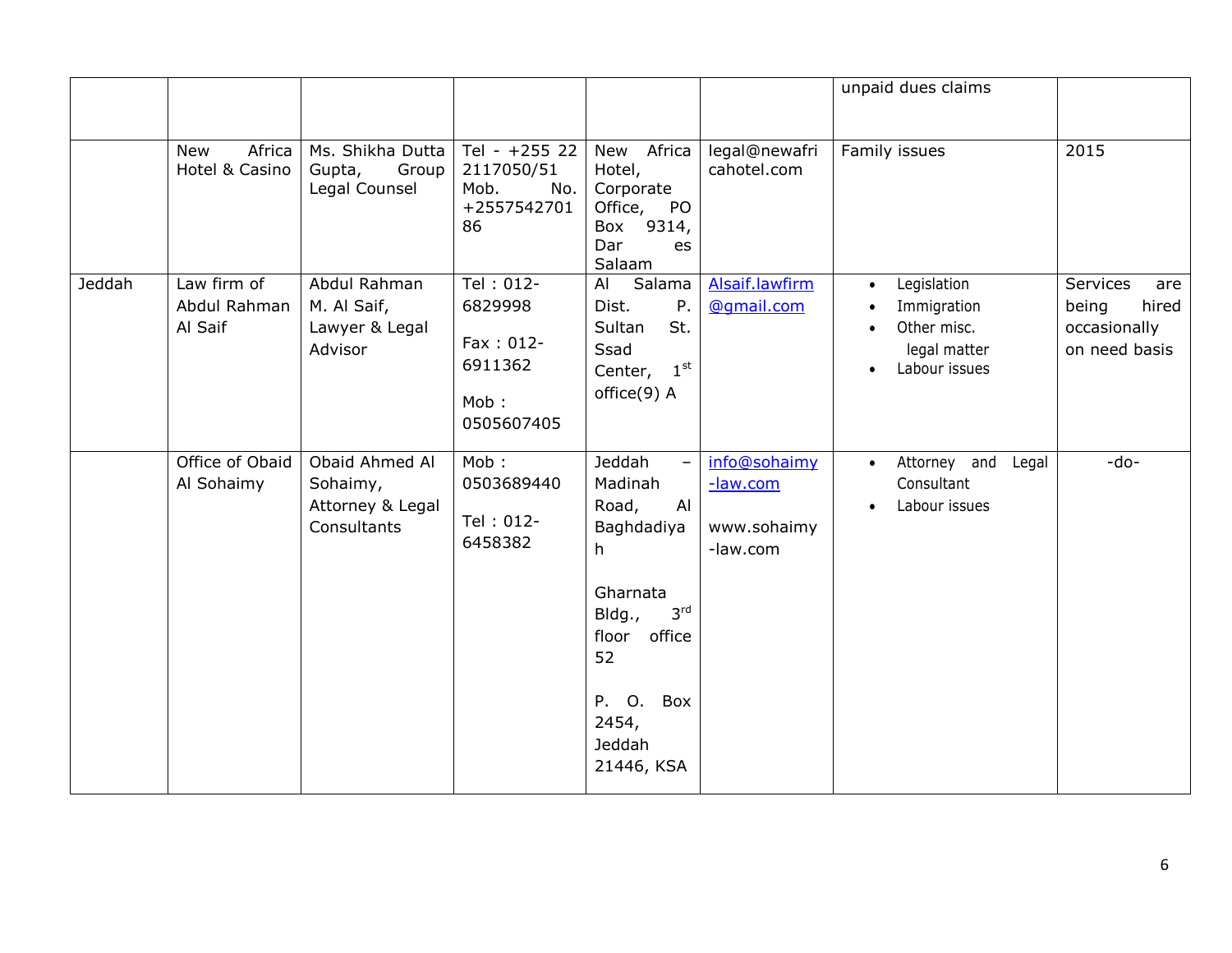|        |                                        |                                                               |                                                                        |                                                                                                                                                                                                    |                                                     | unpaid dues claims                                                                                                |                                                                    |
|--------|----------------------------------------|---------------------------------------------------------------|------------------------------------------------------------------------|----------------------------------------------------------------------------------------------------------------------------------------------------------------------------------------------------|-----------------------------------------------------|-------------------------------------------------------------------------------------------------------------------|--------------------------------------------------------------------|
|        | Africa<br><b>New</b><br>Hotel & Casino | Ms. Shikha Dutta<br>Gupta,<br>Group<br>Legal Counsel          | Tel - $+255$ 22<br>2117050/51<br>Mob.<br>No.<br>+2557542701<br>86      | Africa<br>New<br>Hotel,<br>Corporate<br>Office, PO<br>Box 9314,<br>Dar<br>es<br>Salaam                                                                                                             | legal@newafri<br>cahotel.com                        | Family issues                                                                                                     | 2015                                                               |
| Jeddah | Law firm of<br>Abdul Rahman<br>Al Saif | Abdul Rahman<br>M. Al Saif,<br>Lawyer & Legal<br>Advisor      | Tel: 012-<br>6829998<br>$Fax : 012 -$<br>6911362<br>Mob:<br>0505607405 | Salama<br>AI<br>P.<br>Dist.<br>St.<br>Sultan<br>Ssad<br>$1^{\rm st}$<br>Center,<br>office(9) A                                                                                                     | Alsaif.lawfirm<br>@qmail.com                        | Legislation<br>$\bullet$<br>Immigration<br>Other misc.<br>$\bullet$<br>legal matter<br>Labour issues<br>$\bullet$ | Services<br>are<br>being<br>hired<br>occasionally<br>on need basis |
|        | Office of Obaid<br>Al Sohaimy          | Obaid Ahmed Al<br>Sohaimy,<br>Attorney & Legal<br>Consultants | Mob:<br>0503689440<br>Tel: 012-<br>6458382                             | Jeddah<br>$\overline{\phantom{a}}$<br>Madinah<br>Road,<br>Al<br>Baghdadiya<br>h<br>Gharnata<br>3 <sup>rd</sup><br>Bldg.,<br>floor<br>office<br>52<br>Box<br>P. O.<br>2454,<br>Jeddah<br>21446, KSA | info@sohaimy<br>-law.com<br>www.sohaimy<br>-law.com | Attorney and<br>Legal<br>$\bullet$<br>Consultant<br>Labour issues<br>$\bullet$                                    | -do-                                                               |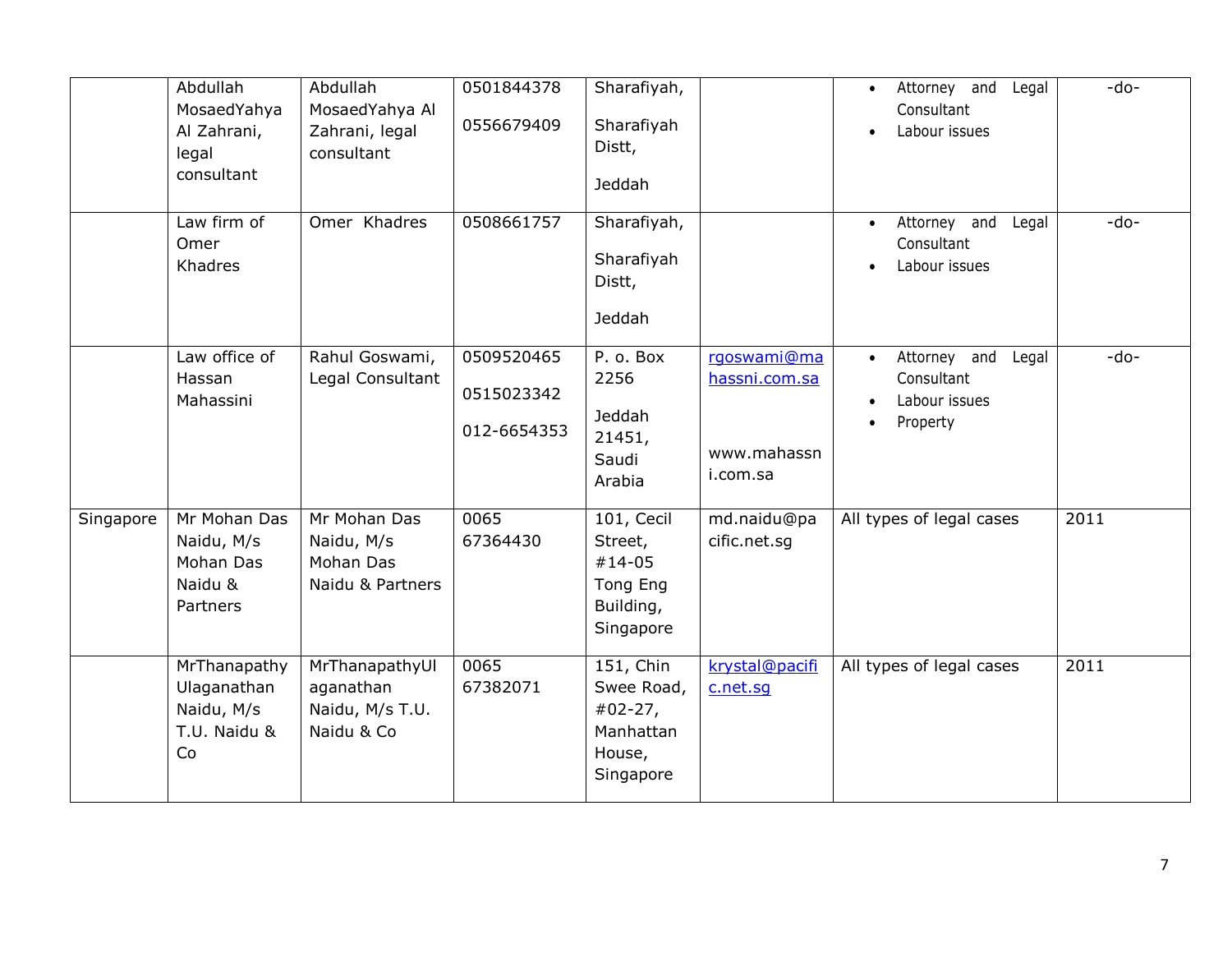|           | Abdullah<br>MosaedYahya<br>Al Zahrani,<br>legal<br>consultant   | Abdullah<br>MosaedYahya Al<br>Zahrani, legal<br>consultant   | 0501844378<br>0556679409                | Sharafiyah,<br>Sharafiyah<br>Distt,<br>Jeddah                            |                                                         | Attorney and<br>Legal<br>$\bullet$<br>Consultant<br>Labour issues | $-do-$ |
|-----------|-----------------------------------------------------------------|--------------------------------------------------------------|-----------------------------------------|--------------------------------------------------------------------------|---------------------------------------------------------|-------------------------------------------------------------------|--------|
|           | Law firm of<br>Omer<br>Khadres                                  | Omer Khadres                                                 | 0508661757                              | Sharafiyah,<br>Sharafiyah<br>Distt,<br>Jeddah                            |                                                         | Attorney and<br>Legal<br>$\bullet$<br>Consultant<br>Labour issues | -do-   |
|           | Law office of<br>Hassan<br>Mahassini                            | Rahul Goswami,<br>Legal Consultant                           | 0509520465<br>0515023342<br>012-6654353 | P. o. Box<br>2256<br>Jeddah<br>21451,<br>Saudi<br>Arabia                 | rgoswami@ma<br>hassni.com.sa<br>www.mahassn<br>i.com.sa | Attorney and<br>Legal<br>Consultant<br>Labour issues<br>Property  | $-do-$ |
| Singapore | Mr Mohan Das<br>Naidu, M/s<br>Mohan Das<br>Naidu &<br>Partners  | Mr Mohan Das<br>Naidu, M/s<br>Mohan Das<br>Naidu & Partners  | 0065<br>67364430                        | 101, Cecil<br>Street,<br>$#14-05$<br>Tong Eng<br>Building,<br>Singapore  | md.naidu@pa<br>cific.net.sg                             | All types of legal cases                                          | 2011   |
|           | MrThanapathy<br>Ulaganathan<br>Naidu, M/s<br>T.U. Naidu &<br>Co | MrThanapathyUl<br>aganathan<br>Naidu, M/s T.U.<br>Naidu & Co | 0065<br>67382071                        | 151, Chin<br>Swee Road,<br>$#02-27,$<br>Manhattan<br>House,<br>Singapore | krystal@pacifi<br>c.net.sq                              | All types of legal cases                                          | 2011   |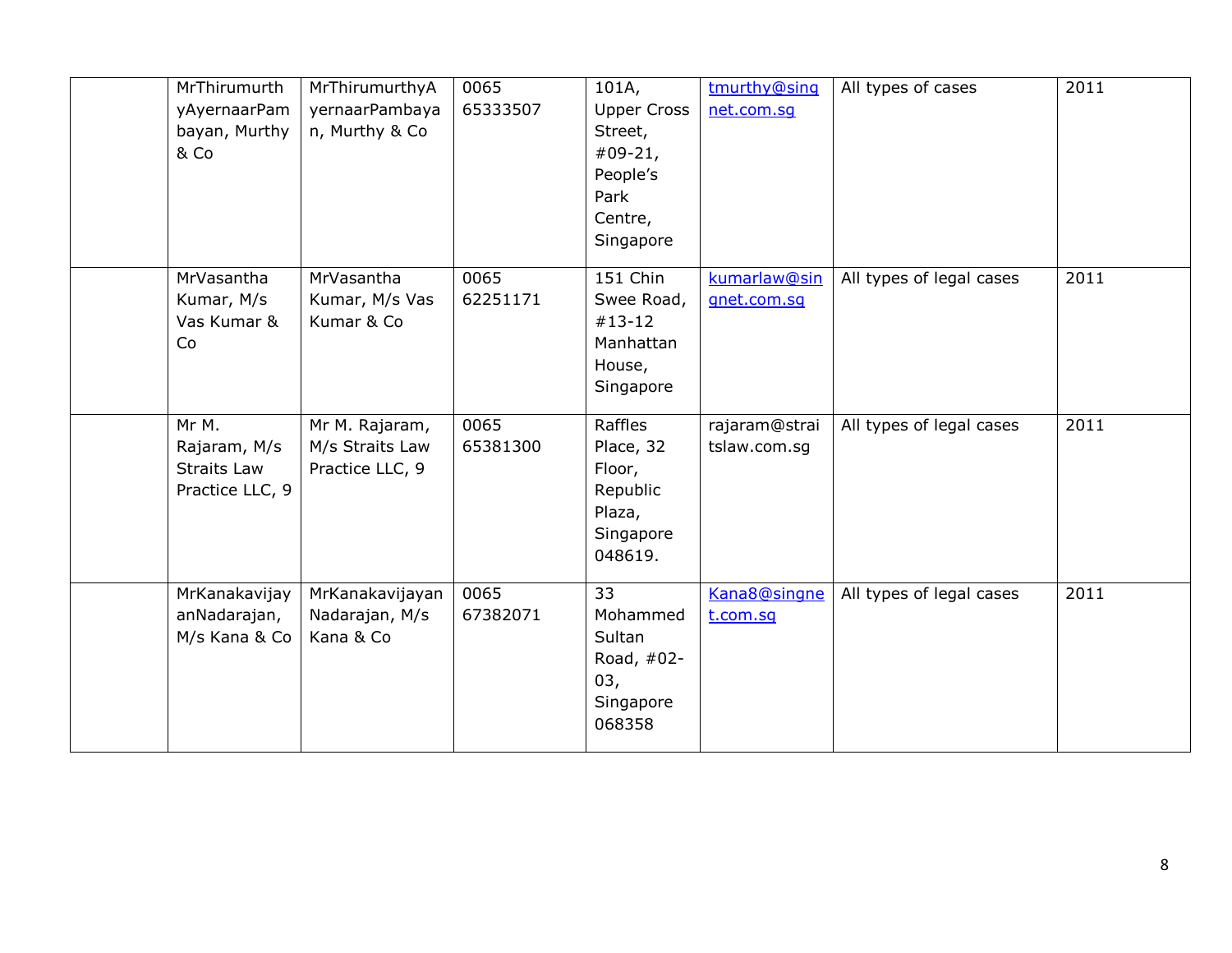| MrThirumurth<br>yAyernaarPam<br>bayan, Murthy<br>& Co          | MrThirumurthyA<br>yernaarPambaya<br>n, Murthy & Co   | 0065<br>65333507 | 101A,<br><b>Upper Cross</b><br>Street,<br>$#09-21,$<br>People's<br>Park<br>Centre,<br>Singapore | tmurthy@sinq<br>net.com.sg    | All types of cases       | 2011 |
|----------------------------------------------------------------|------------------------------------------------------|------------------|-------------------------------------------------------------------------------------------------|-------------------------------|--------------------------|------|
| MrVasantha<br>Kumar, M/s<br>Vas Kumar &<br>Co                  | MrVasantha<br>Kumar, M/s Vas<br>Kumar & Co           | 0065<br>62251171 | 151 Chin<br>Swee Road,<br>$#13-12$<br>Manhattan<br>House,<br>Singapore                          | kumarlaw@sin<br>gnet.com.sg   | All types of legal cases | 2011 |
| Mr M.<br>Rajaram, M/s<br><b>Straits Law</b><br>Practice LLC, 9 | Mr M. Rajaram,<br>M/s Straits Law<br>Practice LLC, 9 | 0065<br>65381300 | Raffles<br>Place, 32<br>Floor,<br>Republic<br>Plaza,<br>Singapore<br>048619.                    | rajaram@strai<br>tslaw.com.sg | All types of legal cases | 2011 |
| MrKanakavijay<br>anNadarajan,<br>M/s Kana & Co                 | MrKanakavijayan<br>Nadarajan, M/s<br>Kana & Co       | 0065<br>67382071 | 33<br>Mohammed<br>Sultan<br>Road, #02-<br>03,<br>Singapore<br>068358                            | Kana8@singne<br>t.com.sq      | All types of legal cases | 2011 |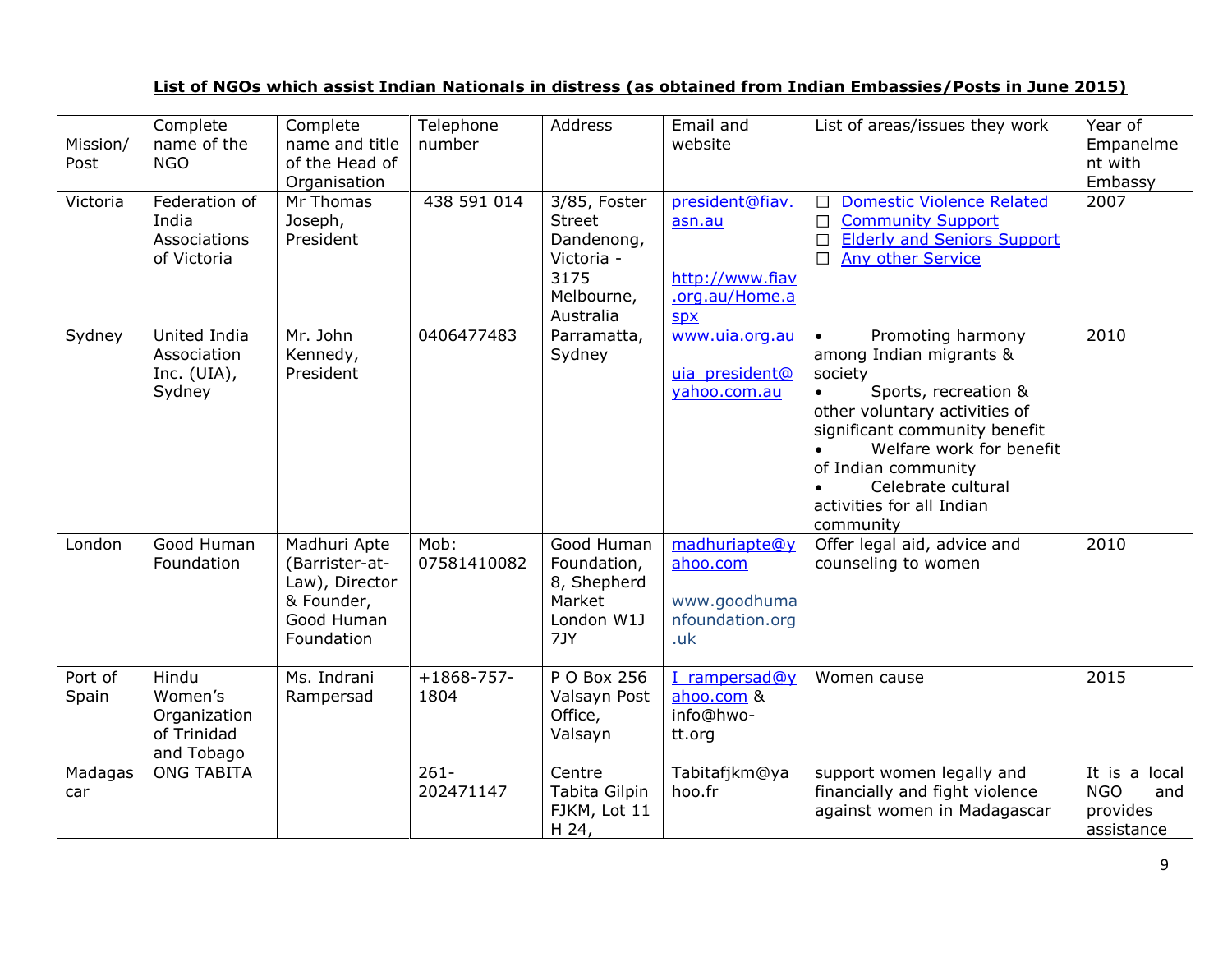## **List of NGOs which assist Indian Nationals in distress (as obtained from Indian Embassies/Posts in June 2015)**

| Mission/<br>Post | Complete<br>name of the<br><b>NGO</b>                         | Complete<br>name and title<br>of the Head of<br>Organisation                               | Telephone<br>number  | Address                                                                                      | Email and<br>website                                                         | List of areas/issues they work                                                                                                                                                                                                                                                                 | Year of<br>Empanelme<br>nt with<br>Embassy                   |
|------------------|---------------------------------------------------------------|--------------------------------------------------------------------------------------------|----------------------|----------------------------------------------------------------------------------------------|------------------------------------------------------------------------------|------------------------------------------------------------------------------------------------------------------------------------------------------------------------------------------------------------------------------------------------------------------------------------------------|--------------------------------------------------------------|
| Victoria         | Federation of<br>India<br>Associations<br>of Victoria         | Mr Thomas<br>Joseph,<br>President                                                          | 438 591 014          | 3/85, Foster<br><b>Street</b><br>Dandenong,<br>Victoria -<br>3175<br>Melbourne,<br>Australia | president@fiav.<br>asn.au<br>http://www.fiav<br>.org.au/Home.a<br><b>SDX</b> | <b>Domestic Violence Related</b><br>$\Box$<br>$\Box$<br><b>Community Support</b><br><b>Elderly and Seniors Support</b><br>$\Box$<br>$\Box$<br><b>Any other Service</b>                                                                                                                         | 2007                                                         |
| Sydney           | United India<br>Association<br>Inc. $(UIA)$ ,<br>Sydney       | Mr. John<br>Kennedy,<br>President                                                          | 0406477483           | Parramatta,<br>Sydney                                                                        | www.uia.org.au<br>uia president@<br>vahoo.com.au                             | Promoting harmony<br>$\bullet$<br>among Indian migrants &<br>society<br>Sports, recreation &<br>other voluntary activities of<br>significant community benefit<br>Welfare work for benefit<br>of Indian community<br>Celebrate cultural<br>$\bullet$<br>activities for all Indian<br>community | 2010                                                         |
| London           | Good Human<br>Foundation                                      | Madhuri Apte<br>(Barrister-at-<br>Law), Director<br>& Founder,<br>Good Human<br>Foundation | Mob:<br>07581410082  | Good Human<br>Foundation,<br>8, Shepherd<br>Market<br>London W1J<br>7JY                      | madhuriapte@y<br>ahoo.com<br>www.goodhuma<br>nfoundation.org<br>.uk          | Offer legal aid, advice and<br>counseling to women                                                                                                                                                                                                                                             | 2010                                                         |
| Port of<br>Spain | Hindu<br>Women's<br>Organization<br>of Trinidad<br>and Tobago | Ms. Indrani<br>Rampersad                                                                   | $+1868-757-$<br>1804 | P O Box 256<br>Valsayn Post<br>Office,<br>Valsayn                                            | I rampersad@y<br>ahoo.com &<br>info@hwo-<br>tt.org                           | Women cause                                                                                                                                                                                                                                                                                    | 2015                                                         |
| Madagas<br>car   | <b>ONG TABITA</b>                                             |                                                                                            | $261 -$<br>202471147 | Centre<br>Tabita Gilpin<br>FJKM, Lot 11<br>H 24,                                             | Tabitafjkm@ya<br>hoo.fr                                                      | support women legally and<br>financially and fight violence<br>against women in Madagascar                                                                                                                                                                                                     | It is a local<br><b>NGO</b><br>and<br>provides<br>assistance |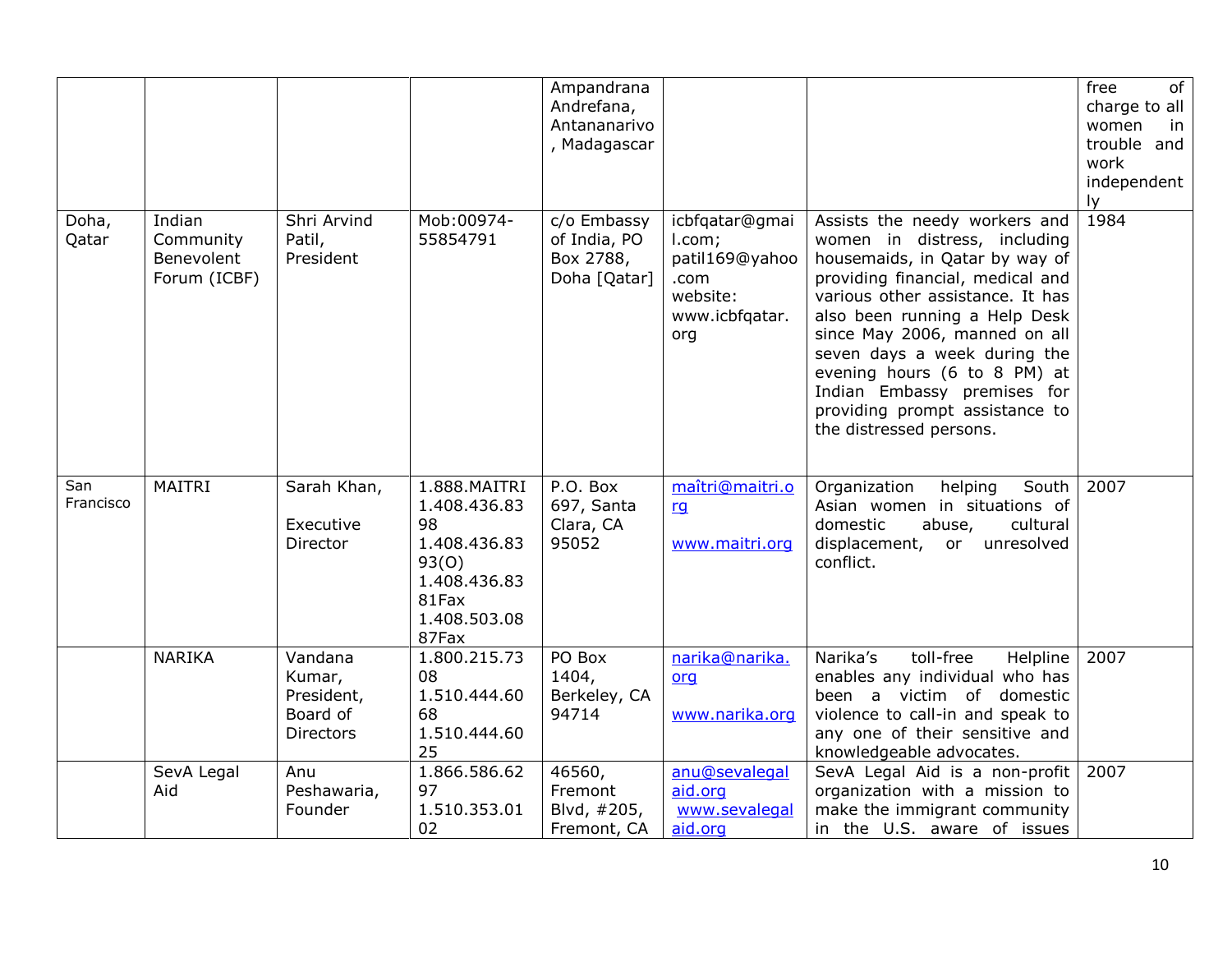|                  |                                                   |                                                                 |                                                                                                               | Ampandrana<br>Andrefana,<br>Antananarivo<br>, Madagascar |                                                                                         |                                                                                                                                                                                                                                                                                                                                                                                                       | free<br>of<br>charge to all<br>women<br>in.<br>trouble and<br>work<br>independent<br>ly. |
|------------------|---------------------------------------------------|-----------------------------------------------------------------|---------------------------------------------------------------------------------------------------------------|----------------------------------------------------------|-----------------------------------------------------------------------------------------|-------------------------------------------------------------------------------------------------------------------------------------------------------------------------------------------------------------------------------------------------------------------------------------------------------------------------------------------------------------------------------------------------------|------------------------------------------------------------------------------------------|
| Doha,<br>Qatar   | Indian<br>Community<br>Benevolent<br>Forum (ICBF) | Shri Arvind<br>Patil,<br>President                              | Mob:00974-<br>55854791                                                                                        | c/o Embassy<br>of India, PO<br>Box 2788,<br>Doha [Qatar] | icbfqatar@gmai<br>I.com;<br>patil169@yahoo<br>.com<br>website:<br>www.icbfqatar.<br>org | Assists the needy workers and<br>women in distress, including<br>housemaids, in Qatar by way of<br>providing financial, medical and<br>various other assistance. It has<br>also been running a Help Desk<br>since May 2006, manned on all<br>seven days a week during the<br>evening hours (6 to 8 PM) at<br>Indian Embassy premises for<br>providing prompt assistance to<br>the distressed persons. | 1984                                                                                     |
| San<br>Francisco | <b>MAITRI</b>                                     | Sarah Khan,<br>Executive<br>Director                            | 1.888.MAITRI<br>1.408.436.83<br>98<br>1.408.436.83<br>93(0)<br>1.408.436.83<br>81Fax<br>1.408.503.08<br>87Fax | P.O. Box<br>697, Santa<br>Clara, CA<br>95052             | maîtri@maitri.o<br>rg<br>www.maitri.org                                                 | South<br>Organization<br>helping<br>Asian women in situations of<br>domestic<br>abuse,<br>cultural<br>displacement, or unresolved<br>conflict.                                                                                                                                                                                                                                                        | 2007                                                                                     |
|                  | <b>NARIKA</b>                                     | Vandana<br>Kumar,<br>President,<br>Board of<br><b>Directors</b> | 1.800.215.73<br>08<br>1.510.444.60<br>68<br>1.510.444.60<br>25                                                | PO Box<br>1404,<br>Berkeley, CA<br>94714                 | narika@narika.<br>org<br>www.narika.org                                                 | Narika's<br>toll-free<br>Helpline<br>enables any individual who has<br>been a victim of domestic<br>violence to call-in and speak to<br>any one of their sensitive and<br>knowledgeable advocates.                                                                                                                                                                                                    | 2007                                                                                     |
|                  | SevA Legal<br>Aid                                 | Anu<br>Peshawaria,<br>Founder                                   | 1.866.586.62<br>97<br>1.510.353.01<br>02                                                                      | 46560,<br>Fremont<br>Blvd, #205,<br>Fremont, CA          | anu@sevalegal<br>aid.org<br>www.sevalegal<br>aid.org                                    | SevA Legal Aid is a non-profit<br>organization with a mission to<br>make the immigrant community<br>in the U.S. aware of issues                                                                                                                                                                                                                                                                       | 2007                                                                                     |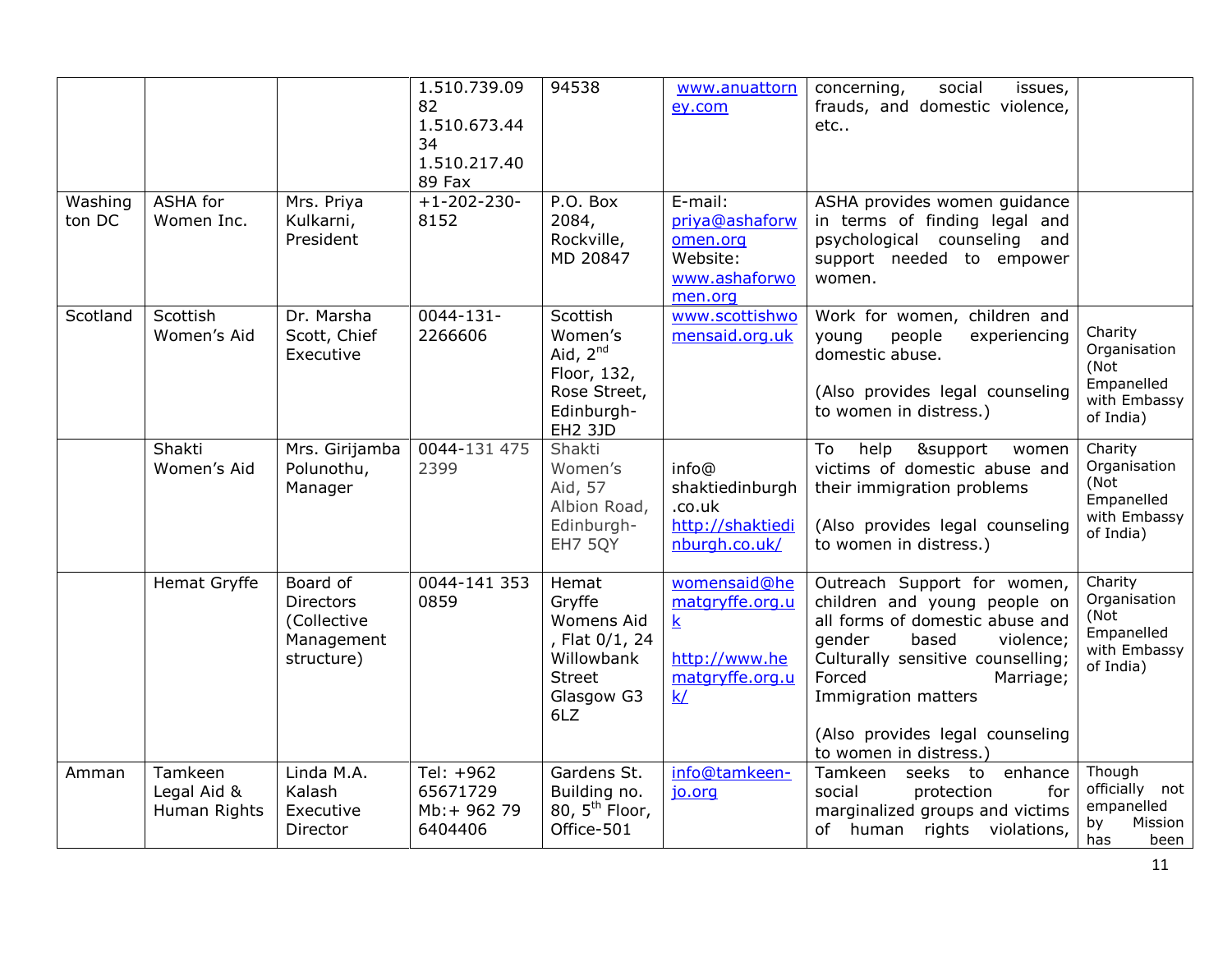|                   |                                        |                                                                         | 1.510.739.09<br>82<br>1.510.673.44<br>34<br>1.510.217.40<br>89 Fax | 94538                                                                                               | www.anuattorn<br>ey.com                                                                              | concerning,<br>social<br>issues,<br>frauds, and domestic violence,<br>etc                                                                                                                                                                            |                                                                            |
|-------------------|----------------------------------------|-------------------------------------------------------------------------|--------------------------------------------------------------------|-----------------------------------------------------------------------------------------------------|------------------------------------------------------------------------------------------------------|------------------------------------------------------------------------------------------------------------------------------------------------------------------------------------------------------------------------------------------------------|----------------------------------------------------------------------------|
| Washing<br>ton DC | ASHA for<br>Women Inc.                 | Mrs. Priya<br>Kulkarni,<br>President                                    | $+1 - 202 - 230 -$<br>8152                                         | P.O. Box<br>2084,<br>Rockville,<br>MD 20847                                                         | E-mail:<br>priya@ashaforw<br>omen.org<br>Website:<br>www.ashaforwo<br>men.org                        | ASHA provides women guidance<br>in terms of finding legal and<br>psychological counseling and<br>support needed to empower<br>women.                                                                                                                 |                                                                            |
| Scotland          | Scottish<br>Women's Aid                | Dr. Marsha<br>Scott, Chief<br>Executive                                 | $0044 - 131 -$<br>2266606                                          | Scottish<br>Women's<br>Aid, $2^{nd}$<br>Floor, 132,<br>Rose Street,<br>Edinburgh-<br><b>EH2 3JD</b> | www.scottishwo<br>mensaid.org.uk                                                                     | Work for women, children and<br>experiencing<br>young<br>people<br>domestic abuse.<br>(Also provides legal counseling<br>to women in distress.)                                                                                                      | Charity<br>Organisation<br>(Not<br>Empanelled<br>with Embassy<br>of India) |
|                   | Shakti<br>Women's Aid                  | Mrs. Girijamba<br>Polunothu,<br>Manager                                 | 0044-131 475<br>2399                                               | Shakti<br>Women's<br>Aid, 57<br>Albion Road,<br>Edinburgh-<br>EH7 5QY                               | info@<br>shaktiedinburgh<br>.co.uk<br>http://shaktiedi<br>nburgh.co.uk/                              | help<br>&support<br>To<br>women<br>victims of domestic abuse and<br>their immigration problems<br>(Also provides legal counseling<br>to women in distress.)                                                                                          | Charity<br>Organisation<br>(Not<br>Empanelled<br>with Embassy<br>of India) |
|                   | Hemat Gryffe                           | Board of<br><b>Directors</b><br>(Collective<br>Management<br>structure) | 0044-141 353<br>0859                                               | Hemat<br>Gryffe<br>Womens Aid<br>, Flat 0/1, 24<br>Willowbank<br><b>Street</b><br>Glasgow G3<br>6LZ | womensaid@he<br>matgryffe.org.u<br>$\overline{\mathbf{k}}$<br>http://www.he<br>matgryffe.org.u<br>k/ | Outreach Support for women,<br>children and young people on<br>all forms of domestic abuse and<br>gender<br>based<br>violence;<br>Culturally sensitive counselling;<br>Forced<br>Marriage;<br>Immigration matters<br>(Also provides legal counseling | Charity<br>Organisation<br>(Not<br>Empanelled<br>with Embassy<br>of India) |
| Amman             | Tamkeen<br>Legal Aid &<br>Human Rights | Linda M.A.<br>Kalash<br>Executive<br>Director                           | Tel: +962<br>65671729<br>Mb: + 962 79<br>6404406                   | Gardens St.<br>Building no.<br>80, $5th$ Floor,<br>Office-501                                       | info@tamkeen-<br>jo.org                                                                              | to women in distress.)<br>Tamkeen<br>seeks to<br>enhance<br>social<br>protection<br>for<br>marginalized groups and victims<br>of human rights violations,                                                                                            | Though<br>officially not<br>empanelled<br>by<br>Mission<br>has<br>been     |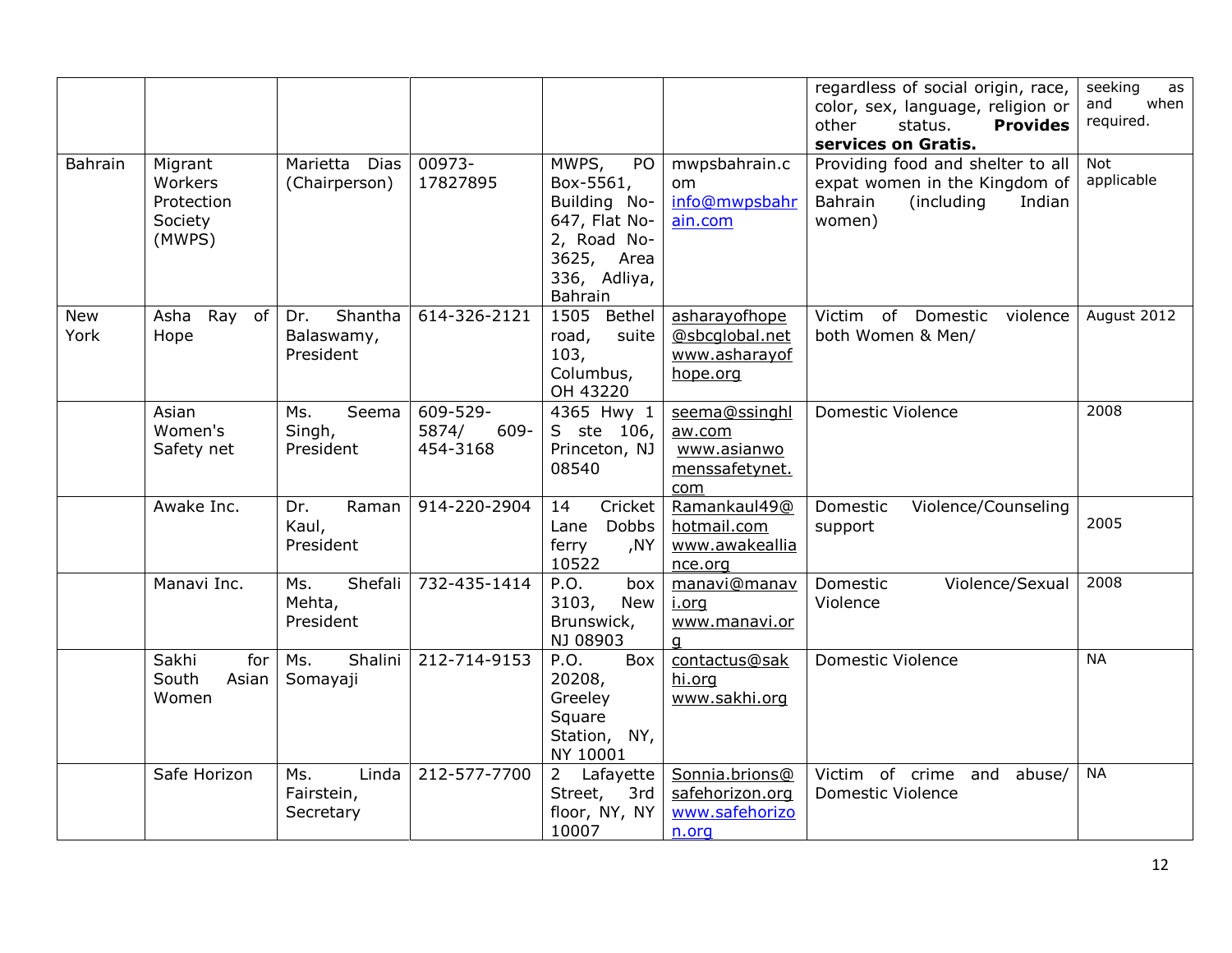|                    |                                                       |                                           |                                       |                                                                                                                   |                                                                 | regardless of social origin, race,<br>color, sex, language, religion or<br>status.<br>other<br><b>Provides</b><br>services on Gratis. | seeking<br>as<br>and<br>when<br>required. |
|--------------------|-------------------------------------------------------|-------------------------------------------|---------------------------------------|-------------------------------------------------------------------------------------------------------------------|-----------------------------------------------------------------|---------------------------------------------------------------------------------------------------------------------------------------|-------------------------------------------|
| Bahrain            | Migrant<br>Workers<br>Protection<br>Society<br>(MWPS) | Marietta<br><b>Dias</b><br>(Chairperson)  | 00973-<br>17827895                    | MWPS,<br>PO<br>Box-5561,<br>Building No-<br>647, Flat No-<br>2, Road No-<br>3625, Area<br>336, Adliya,<br>Bahrain | mwpsbahrain.c<br>om.<br>info@mwpsbahr<br>ain.com                | Providing food and shelter to all<br>expat women in the Kingdom of<br>Bahrain<br>(including)<br>Indian<br>women)                      | Not<br>applicable                         |
| <b>New</b><br>York | Asha Ray<br>of<br>Hope                                | Shantha<br>Dr.<br>Balaswamy,<br>President | 614-326-2121                          | 1505 Bethel<br>road,<br>suite<br>103,<br>Columbus,<br>OH 43220                                                    | asharayofhope<br>@sbcqlobal.net<br>www.asharayof<br>hope.org    | Victim of Domestic violence<br>both Women & Men/                                                                                      | August 2012                               |
|                    | Asian<br>Women's<br>Safety net                        | Ms.<br>Seema<br>Singh,<br>President       | 609-529-<br>5874/<br>609-<br>454-3168 | 4365 Hwy 1<br>S ste 106,<br>Princeton, NJ<br>08540                                                                | seema@ssinghl<br>aw.com<br>www.asianwo<br>menssafetynet.<br>com | Domestic Violence                                                                                                                     | 2008                                      |
|                    | Awake Inc.                                            | Raman<br>Dr.<br>Kaul,<br>President        | 914-220-2904                          | Cricket<br>14<br>Dobbs<br>Lane<br>ferry<br>NY,<br>10522                                                           | Ramankaul49@<br>hotmail.com<br>www.awakeallia<br>nce.org        | Domestic<br>Violence/Counseling<br>support                                                                                            | 2005                                      |
|                    | Manavi Inc.                                           | Shefali<br>Ms.<br>Mehta,<br>President     | 732-435-1414                          | P.O.<br>box<br>3103,<br>New<br>Brunswick,<br>NJ 08903                                                             | manavi@manav<br>i.org<br>www.manavi.or<br>q                     | Domestic<br>Violence/Sexual<br>Violence                                                                                               | 2008                                      |
|                    | Sakhi<br>for<br>South<br>Asian<br>Women               | Shalini<br>Ms.<br>Somayaji                | 212-714-9153                          | P.O.<br>Box<br>20208,<br>Greeley<br>Square<br>Station, NY,<br>NY 10001                                            | contactus@sak<br>hi.org<br>www.sakhi.org                        | <b>Domestic Violence</b>                                                                                                              | <b>NA</b>                                 |
|                    | Safe Horizon                                          | Linda<br>Ms.<br>Fairstein,<br>Secretary   | 212-577-7700                          | 2 Lafayette<br>Street,<br>3rd<br>floor, NY, NY<br>10007                                                           | Sonnia.brions@<br>safehorizon.org<br>www.safehorizo<br>n.org    | Victim of crime and<br>abuse/<br>Domestic Violence                                                                                    | <b>NA</b>                                 |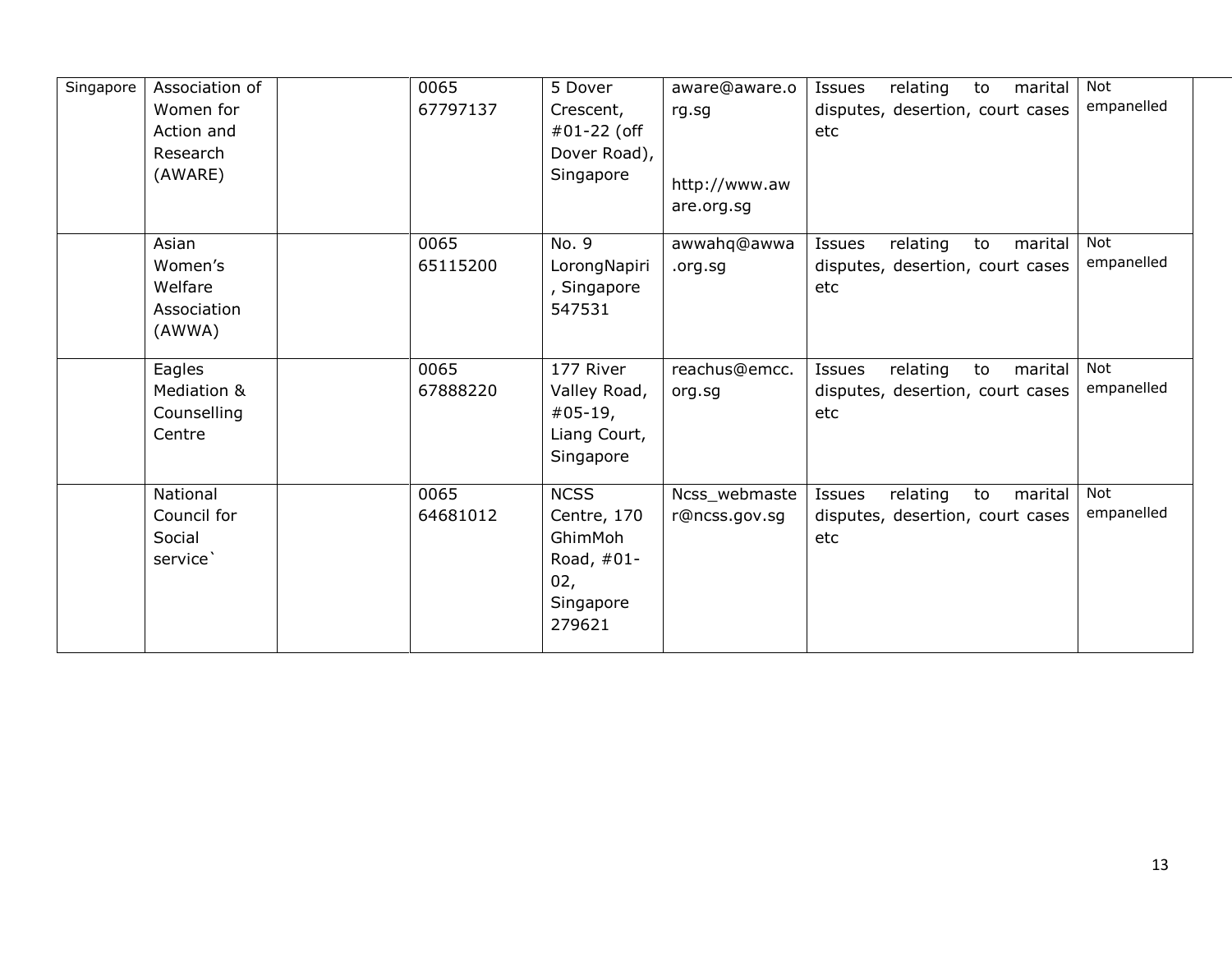| Singapore | Association of<br>Women for<br>Action and<br>Research<br>(AWARE) | 0065<br>67797137 | 5 Dover<br>Crescent,<br>#01-22 (off<br>Dover Road),<br>Singapore                    | aware@aware.o<br>rg.sg<br>http://www.aw<br>are.org.sg | Issues<br>relating<br>marital<br>to<br>disputes, desertion, court cases<br>etc | <b>Not</b><br>empanelled |
|-----------|------------------------------------------------------------------|------------------|-------------------------------------------------------------------------------------|-------------------------------------------------------|--------------------------------------------------------------------------------|--------------------------|
|           | Asian<br>Women's<br>Welfare<br>Association<br>(AWWA)             | 0065<br>65115200 | No. 9<br>LorongNapiri<br>, Singapore<br>547531                                      | awwahq@awwa<br>.org.sg                                | relating<br>to<br>Issues<br>marital<br>disputes, desertion, court cases<br>etc | <b>Not</b><br>empanelled |
|           | Eagles<br>Mediation &<br>Counselling<br>Centre                   | 0065<br>67888220 | 177 River<br>Valley Road,<br>$#05-19,$<br>Liang Court,<br>Singapore                 | reachus@emcc.<br>org.sg                               | relating<br>Issues<br>to<br>marital<br>disputes, desertion, court cases<br>etc | Not<br>empanelled        |
|           | National<br>Council for<br>Social<br>service`                    | 0065<br>64681012 | <b>NCSS</b><br>Centre, 170<br>GhimMoh<br>Road, $#01-$<br>02,<br>Singapore<br>279621 | Ncss_webmaste<br>r@ncss.gov.sg                        | relating<br>Issues<br>to<br>marital<br>disputes, desertion, court cases<br>etc | <b>Not</b><br>empanelled |